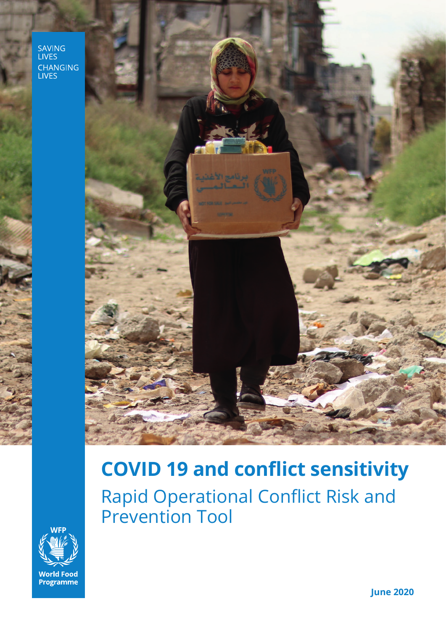SAVING<br>LIVES CHANGING<br>LIVES



# **COVID 19 and conflict sensitivity** Rapid Operational Conflict Risk and Prevention Tool



**June 2020**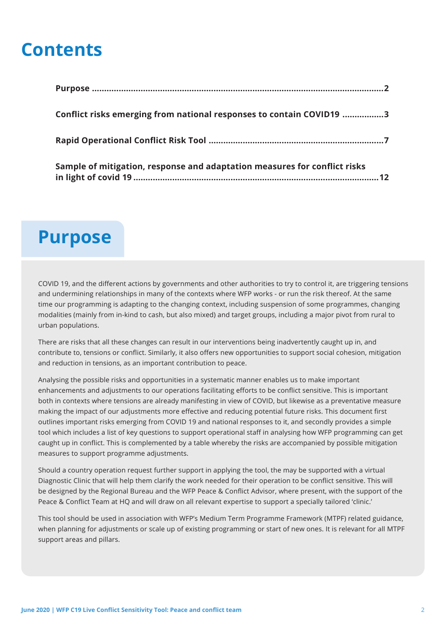## **Contents**

| Conflict risks emerging from national responses to contain COVID19 3      |  |
|---------------------------------------------------------------------------|--|
|                                                                           |  |
| Sample of mitigation, response and adaptation measures for conflict risks |  |

## **Purpose**

COVID 19, and the different actions by governments and other authorities to try to control it, are triggering tensions and undermining relationships in many of the contexts where WFP works - or run the risk thereof. At the same time our programming is adapting to the changing context, including suspension of some programmes, changing modalities (mainly from in-kind to cash, but also mixed) and target groups, including a major pivot from rural to urban populations.

There are risks that all these changes can result in our interventions being inadvertently caught up in, and contribute to, tensions or conflict. Similarly, it also offers new opportunities to support social cohesion, mitigation and reduction in tensions, as an important contribution to peace.

Analysing the possible risks and opportunities in a systematic manner enables us to make important enhancements and adjustments to our operations facilitating efforts to be conflict sensitive. This is important both in contexts where tensions are already manifesting in view of COVID, but likewise as a preventative measure making the impact of our adjustments more effective and reducing potential future risks. This document first outlines important risks emerging from COVID 19 and national responses to it, and secondly provides a simple tool which includes a list of key questions to support operational staff in analysing how WFP programming can get caught up in conflict. This is complemented by a table whereby the risks are accompanied by possible mitigation measures to support programme adjustments.

Should a country operation request further support in applying the tool, the may be supported with a virtual Diagnostic Clinic that will help them clarify the work needed for their operation to be conflict sensitive. This will be designed by the Regional Bureau and the WFP Peace & Conflict Advisor, where present, with the support of the Peace & Conflict Team at HQ and will draw on all relevant expertise to support a specially tailored 'clinic.'

This tool should be used in association with WFP's Medium Term Programme Framework (MTPF) related guidance, when planning for adjustments or scale up of existing programming or start of new ones. It is relevant for all MTPF support areas and pillars.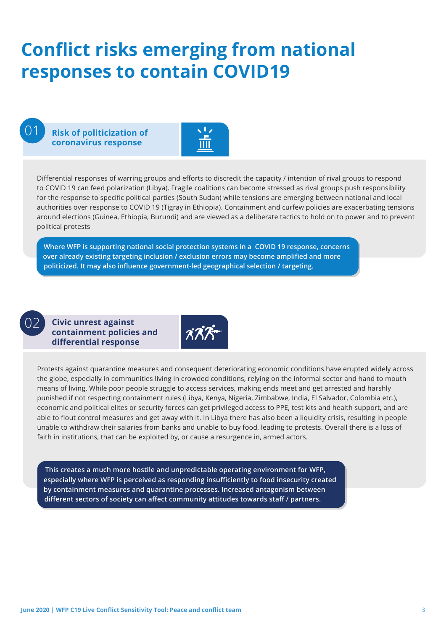# **Conflict risks emerging from national responses to contain COVID19**

01

**Risk of politicization of coronavirus response**



Differential responses of warring groups and efforts to discredit the capacity / intention of rival groups to respond to COVID 19 can feed polarization (Libya). Fragile coalitions can become stressed as rival groups push responsibility for the response to specific political parties (South Sudan) while tensions are emerging between national and local authorities over response to COVID 19 (Tigray in Ethiopia). Containment and curfew policies are exacerbating tensions around elections (Guinea, Ethiopia, Burundi) and are viewed as a deliberate tactics to hold on to power and to prevent political protests

**Where WFP is supporting national social protection systems in a COVID 19 response, concerns over already existing targeting inclusion / exclusion errors may become amplified and more politicized. It may also influence government-led geographical selection / targeting.**

02

**Civic unrest against containment policies and differential response**



Protests against quarantine measures and consequent deteriorating economic conditions have erupted widely across the globe, especially in communities living in crowded conditions, relying on the informal sector and hand to mouth means of living. While poor people struggle to access services, making ends meet and get arrested and harshly punished if not respecting containment rules (Libya, Kenya, Nigeria, Zimbabwe, India, El Salvador, Colombia etc.), economic and political elites or security forces can get privileged access to PPE, test kits and health support, and are able to flout control measures and get away with it. In Libya there has also been a liquidity crisis, resulting in people unable to withdraw their salaries from banks and unable to buy food, leading to protests. Overall there is a loss of faith in institutions, that can be exploited by, or cause a resurgence in, armed actors.

**This creates a much more hostile and unpredictable operating environment for WFP, especially where WFP is perceived as responding insufficiently to food insecurity created by containment measures and quarantine processes. Increased antagonism between different sectors of society can affect community attitudes towards staff / partners.**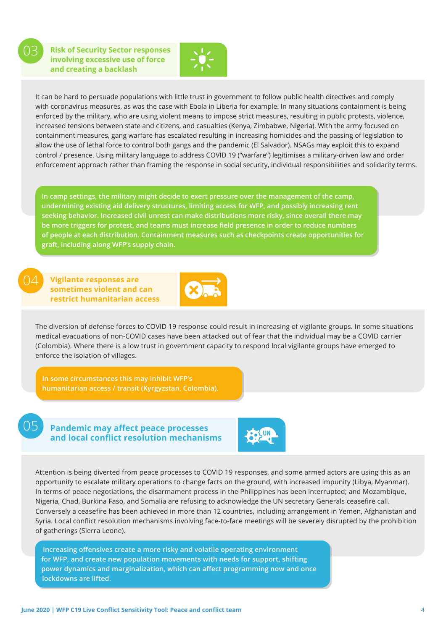03

**Risk of Security Sector responses involving excessive use of force and creating a backlash** 



It can be hard to persuade populations with little trust in government to follow public health directives and comply with coronavirus measures, as was the case with Ebola in Liberia for example. In many situations containment is being enforced by the military, who are using violent means to impose strict measures, resulting in public protests, violence, increased tensions between state and citizens, and casualties (Kenya, Zimbabwe, Nigeria). With the army focused on containment measures, gang warfare has escalated resulting in increasing homicides and the passing of legislation to allow the use of lethal force to control both gangs and the pandemic (El Salvador). NSAGs may exploit this to expand control / presence. Using military language to address COVID 19 ("warfare") legitimises a military-driven law and order enforcement approach rather than framing the response in social security, individual responsibilities and solidarity terms.

**In camp settings, the military might decide to exert pressure over the management of the camp, undermining existing aid delivery structures, limiting access for WFP, and possibly increasing rent seeking behavior. Increased civil unrest can make distributions more risky, since overall there may be more triggers for protest, and teams must increase field presence in order to reduce numbers of people at each distribution. Containment measures such as checkpoints create opportunities for graft, including along WFP's supply chain.**

04

**Vigilante responses are sometimes violent and can restrict humanitarian access**



The diversion of defense forces to COVID 19 response could result in increasing of vigilante groups. In some situations medical evacuations of non-COVID cases have been attacked out of fear that the individual may be a COVID carrier (Colombia). Where there is a low trust in government capacity to respond local vigilante groups have emerged to enforce the isolation of villages.

**humanitarian access / transit (Kyrgyzstan, Colombia).**

05

**Pandemic may affect peace processes and local conflict resolution mechanisms**



Attention is being diverted from peace processes to COVID 19 responses, and some armed actors are using this as an opportunity to escalate military operations to change facts on the ground, with increased impunity (Libya, Myanmar). In terms of peace negotiations, the disarmament process in the Philippines has been interrupted; and Mozambique, Nigeria, Chad, Burkina Faso, and Somalia are refusing to acknowledge the UN secretary Generals ceasefire call. Conversely a ceasefire has been achieved in more than 12 countries, including arrangement in Yemen, Afghanistan and Syria. Local conflict resolution mechanisms involving face-to-face meetings will be severely disrupted by the prohibition of gatherings (Sierra Leone).

**Increasing offensives create a more risky and volatile operating environment for WFP, and create new population movements with needs for support, shifting power dynamics and marginalization, which can affect programming now and once lockdowns are lifted.**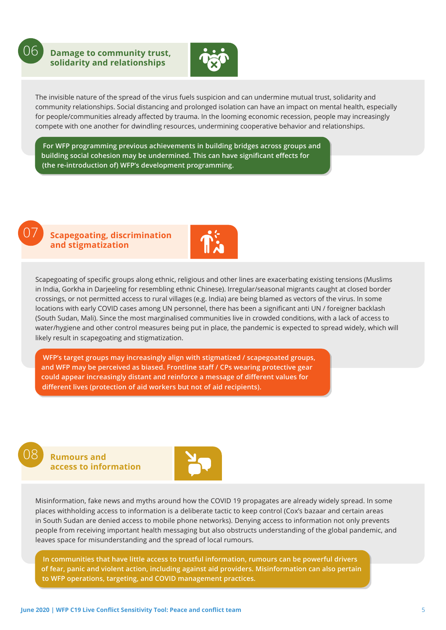06

**Damage to community trust, solidarity and relationships** 



The invisible nature of the spread of the virus fuels suspicion and can undermine mutual trust, solidarity and community relationships. Social distancing and prolonged isolation can have an impact on mental health, especially for people/communities already affected by trauma. In the looming economic recession, people may increasingly compete with one another for dwindling resources, undermining cooperative behavior and relationships.

**For WFP programming previous achievements in building bridges across groups and building social cohesion may be undermined. This can have significant effects for (the re-introduction of) WFP's development programming.**



#### **Scapegoating, discrimination and stigmatization**



Scapegoating of specific groups along ethnic, religious and other lines are exacerbating existing tensions (Muslims in India, Gorkha in Darjeeling for resembling ethnic Chinese). Irregular/seasonal migrants caught at closed border crossings, or not permitted access to rural villages (e.g. India) are being blamed as vectors of the virus. In some locations with early COVID cases among UN personnel, there has been a significant anti UN / foreigner backlash (South Sudan, Mali). Since the most marginalised communities live in crowded conditions, with a lack of access to water/hygiene and other control measures being put in place, the pandemic is expected to spread widely, which will likely result in scapegoating and stigmatization.

**WFP's target groups may increasingly align with stigmatized / scapegoated groups, and WFP may be perceived as biased. Frontline staff / CPs wearing protective gear could appear increasingly distant and reinforce a message of different values for different lives (protection of aid workers but not of aid recipients).**

### 08

**Rumours and access to information** 



Misinformation, fake news and myths around how the COVID 19 propagates are already widely spread. In some places withholding access to information is a deliberate tactic to keep control (Cox's bazaar and certain areas in South Sudan are denied access to mobile phone networks). Denying access to information not only prevents people from receiving important health messaging but also obstructs understanding of the global pandemic, and leaves space for misunderstanding and the spread of local rumours.

**In communities that have little access to trustful information, rumours can be powerful drivers of fear, panic and violent action, including against aid providers. Misinformation can also pertain to WFP operations, targeting, and COVID management practices.**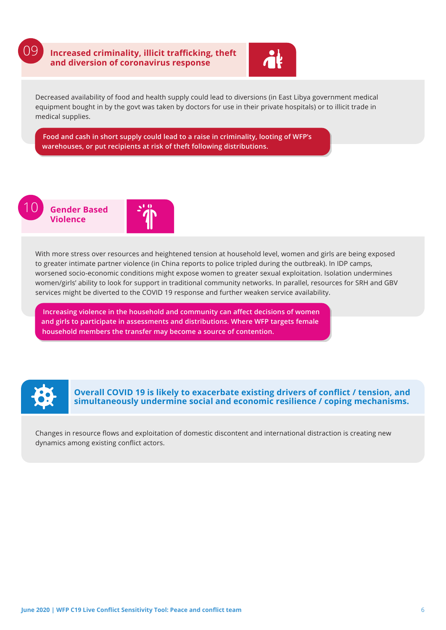

**Increasing violence in the household and community can affect decisions of women and girls to participate in assessments and distributions. Where WFP targets female household members the transfer may become a source of contention.**



**Overall COVID 19 is likely to exacerbate existing drivers of conflict / tension, and simultaneously undermine social and economic resilience / coping mechanisms.** 

Changes in resource flows and exploitation of domestic discontent and international distraction is creating new dynamics among existing conflict actors.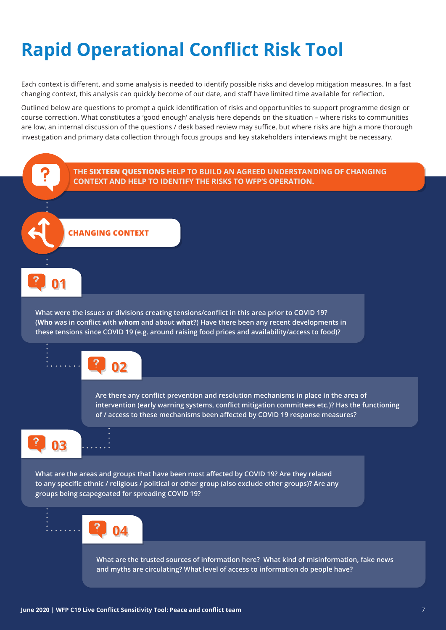# **Rapid Operational Conflict Risk Tool**

Each context is different, and some analysis is needed to identify possible risks and develop mitigation measures. In a fast changing context, this analysis can quickly become of out date, and staff have limited time available for reflection.

Outlined below are questions to prompt a quick identification of risks and opportunities to support programme design or course correction. What constitutes a 'good enough' analysis here depends on the situation – where risks to communities are low, an internal discussion of the questions / desk based review may suffice, but where risks are high a more thorough investigation and primary data collection through focus groups and key stakeholders interviews might be necessary.

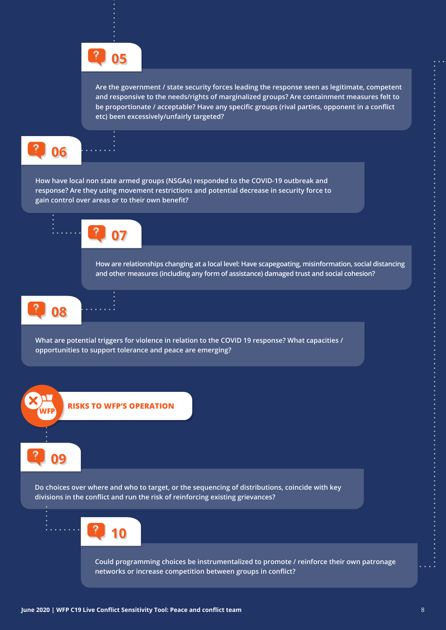

**Are the government / state security forces leading the response seen as legitimate, competent and responsive to the needs/rights of marginalized groups? Are containment measures felt to be proportionate / acceptable? Have any specific groups (rival parties, opponent in a conflict etc) been excessively/unfairly targeted?**

**06**

**How have local non state armed groups (NSGAs) responded to the COVID-19 outbreak and response? Are they using movement restrictions and potential decrease in security force to gain control over areas or to their own benefit?**



**How are relationships changing at a local level: Have scapegoating, misinformation, social distancing and other measures (including any form of assistance) damaged trust and social cohesion?**





**What are potential triggers for violence in relation to the COVID 19 response? What capacities / opportunities to support tolerance and peace are emerging?**

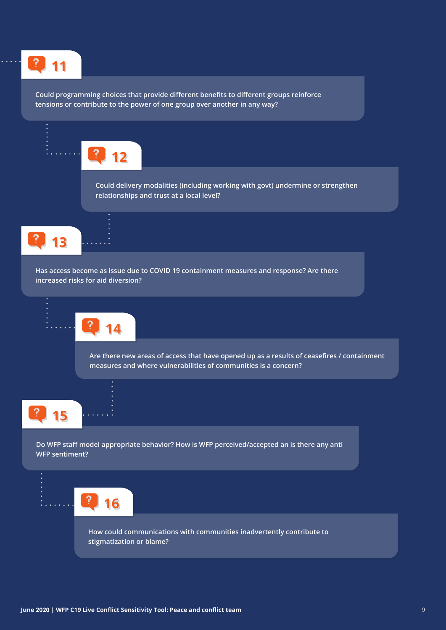

**Could programming choices that provide different benefits to different groups reinforce tensions or contribute to the power of one group over another in any way?** 

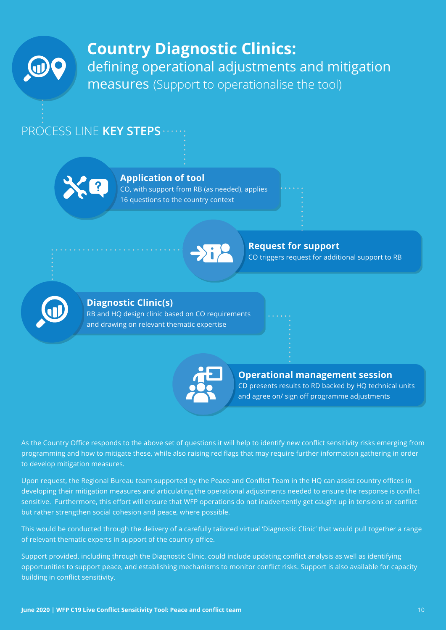

## **Country Diagnostic Clinics:**  defining operational adjustments and mitigation measures (Support to operationalise the tool)

### PROCESS LINE **KEY STEPS**



#### **Application of tool**

CO, with support from RB (as needed), applies 16 questions to the country context



#### **Request for support**

CO triggers request for additional support to RB



#### **Diagnostic Clinic(s)**

RB and HQ design clinic based on CO requirements and drawing on relevant thematic expertise



#### **Operational management session**  CD presents results to RD backed by HQ technical units and agree on/ sign off programme adjustments

As the Country Office responds to the above set of questions it will help to identify new conflict sensitivity risks emerging from programming and how to mitigate these, while also raising red flags that may require further information gathering in order to develop mitigation measures.

Upon request, the Regional Bureau team supported by the Peace and Conflict Team in the HQ can assist country offices in developing their mitigation measures and articulating the operational adjustments needed to ensure the response is conflict sensitive. Furthermore, this effort will ensure that WFP operations do not inadvertently get caught up in tensions or conflict but rather strengthen social cohesion and peace, where possible.

This would be conducted through the delivery of a carefully tailored virtual 'Diagnostic Clinic' that would pull together a range of relevant thematic experts in support of the country office.

Support provided, including through the Diagnostic Clinic, could include updating conflict analysis as well as identifying opportunities to support peace, and establishing mechanisms to monitor conflict risks. Support is also available for capacity building in conflict sensitivity.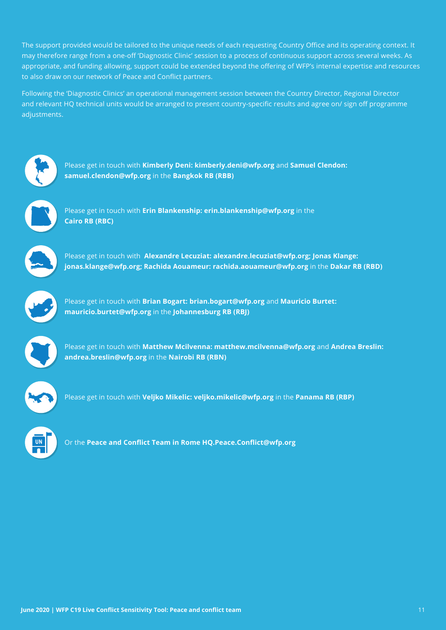The support provided would be tailored to the unique needs of each requesting Country Office and its operating context. It may therefore range from a one-off 'Diagnostic Clinic' session to a process of continuous support across several weeks. As appropriate, and funding allowing, support could be extended beyond the offering of WFP's internal expertise and resources to also draw on our network of Peace and Conflict partners.

Following the 'Diagnostic Clinics' an operational management session between the Country Director, Regional Director and relevant HQ technical units would be arranged to present country-specific results and agree on/ sign off programme adjustments.



Please get in touch with **Kimberly Deni: kimberly.deni@wfp.org** and **Samuel Clendon: samuel.clendon@wfp.org** in the **Bangkok RB (RBB)**



Please get in touch with **Erin Blankenship: erin.blankenship@wfp.org** in the **Cairo RB (RBC)**



Please get in touch with **Alexandre Lecuziat: alexandre.lecuziat@wfp.org; Jonas Klange: jonas.klange@wfp.org; Rachida Aouameur: rachida.aouameur@wfp.org** in the **Dakar RB (RBD)**



Please get in touch with **Brian Bogart: brian.bogart@wfp.org** and **Mauricio Burtet: mauricio.burtet@wfp.org** in the **Johannesburg RB (RBJ)**



Please get in touch with **Matthew Mcilvenna: matthew.mcilvenna@wfp.org** and **Andrea Breslin: andrea.breslin@wfp.org** in the **Nairobi RB (RBN)**



Please get in touch with **Veljko Mikelic: veljko.mikelic@wfp.org** in the **Panama RB (RBP)**



Or the **Peace and Conflict Team in Rome HQ.Peace.Conflict@wfp.org**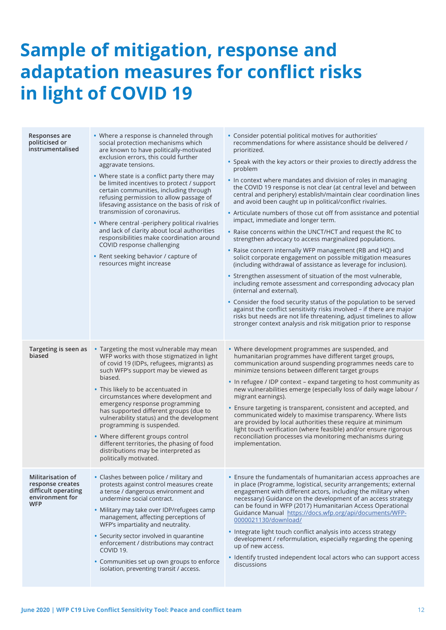# **Sample of mitigation, response and adaptation measures for conflict risks in light of COVID 19**

| Responses are<br>politicised or<br>instrumentalised                                                  | • Where a response is channeled through<br>social protection mechanisms which<br>are known to have politically-motivated<br>exclusion errors, this could further<br>aggravate tensions.<br>• Where state is a conflict party there may<br>be limited incentives to protect / support<br>certain communities, including through<br>refusing permission to allow passage of<br>lifesaving assistance on the basis of risk of<br>transmission of coronavirus.<br>• Where central -periphery political rivalries<br>and lack of clarity about local authorities<br>responsibilities make coordination around<br>COVID response challenging<br>• Rent seeking behavior / capture of<br>resources might increase | • Consider potential political motives for authorities'<br>recommendations for where assistance should be delivered /<br>prioritized.<br>• Speak with the key actors or their proxies to directly address the<br>problem<br>• In context where mandates and division of roles in managing<br>the COVID 19 response is not clear (at central level and between<br>central and periphery) establish/maintain clear coordination lines<br>and avoid been caught up in political/conflict rivalries.<br>• Articulate numbers of those cut off from assistance and potential<br>impact, immediate and longer term.<br>• Raise concerns within the UNCT/HCT and request the RC to<br>strengthen advocacy to access marginalized populations.<br>• Raise concern internally WFP management (RB and HQ) and<br>solicit corporate engagement on possible mitigation measures<br>(including withdrawal of assistance as leverage for inclusion).<br>• Strengthen assessment of situation of the most vulnerable,<br>including remote assessment and corresponding advocacy plan<br>(internal and external).<br>• Consider the food security status of the population to be served<br>against the conflict sensitivity risks involved - if there are major<br>risks but needs are not life threatening, adjust timelines to allow<br>stronger context analysis and risk mitigation prior to response |
|------------------------------------------------------------------------------------------------------|------------------------------------------------------------------------------------------------------------------------------------------------------------------------------------------------------------------------------------------------------------------------------------------------------------------------------------------------------------------------------------------------------------------------------------------------------------------------------------------------------------------------------------------------------------------------------------------------------------------------------------------------------------------------------------------------------------|-------------------------------------------------------------------------------------------------------------------------------------------------------------------------------------------------------------------------------------------------------------------------------------------------------------------------------------------------------------------------------------------------------------------------------------------------------------------------------------------------------------------------------------------------------------------------------------------------------------------------------------------------------------------------------------------------------------------------------------------------------------------------------------------------------------------------------------------------------------------------------------------------------------------------------------------------------------------------------------------------------------------------------------------------------------------------------------------------------------------------------------------------------------------------------------------------------------------------------------------------------------------------------------------------------------------------------------------------------------------------------------------|
| Targeting is seen as<br>biased                                                                       | • Targeting the most vulnerable may mean<br>WFP works with those stigmatized in light<br>of covid 19 (IDPs, refugees, migrants) as<br>such WFP's support may be viewed as<br>biased.<br>• This likely to be accentuated in<br>circumstances where development and<br>emergency response programming<br>has supported different groups (due to<br>vulnerability status) and the development<br>programming is suspended.<br>• Where different groups control<br>different territories, the phasing of food<br>distributions may be interpreted as<br>politically motivated.                                                                                                                                 | • Where development programmes are suspended, and<br>humanitarian programmes have different target groups,<br>communication around suspending programmes needs care to<br>minimize tensions between different target groups<br>• In refugee / IDP context - expand targeting to host community as<br>new vulnerabilities emerge (especially loss of daily wage labour /<br>migrant earnings).<br>• Ensure targeting is transparent, consistent and accepted, and<br>communicated widely to maximise transparency. Where lists<br>are provided by local authorities these require at minimum<br>light touch verification (where feasible) and/or ensure rigorous<br>reconciliation processes via monitoring mechanisms during<br>implementation.                                                                                                                                                                                                                                                                                                                                                                                                                                                                                                                                                                                                                                           |
| <b>Militarisation of</b><br>response creates<br>difficult operating<br>environment for<br><b>WFP</b> | • Clashes between police / military and<br>protests against control measures create<br>a tense / dangerous environment and<br>undermine social contract.<br>• Military may take over IDP/refugees camp<br>management, affecting perceptions of<br>WFP's impartiality and neutrality.<br>• Security sector involved in quarantine<br>enforcement / distributions may contract<br>COVID 19.<br>• Communities set up own groups to enforce<br>isolation, preventing transit / access.                                                                                                                                                                                                                         | • Ensure the fundamentals of humanitarian access approaches are<br>in place (Programme, logistical, security arrangements; external<br>engagement with different actors, including the military when<br>necessary) Guidance on the development of an access strategy<br>can be found in WFP (2017) Humanitarian Access Operational<br>Guidance Manual https://docs.wfp.org/api/documents/WFP-<br>0000021130/download/<br>• Integrate light touch conflict analysis into access strategy<br>development / reformulation, especially regarding the opening<br>up of new access.<br>• Identify trusted independent local actors who can support access<br>discussions                                                                                                                                                                                                                                                                                                                                                                                                                                                                                                                                                                                                                                                                                                                        |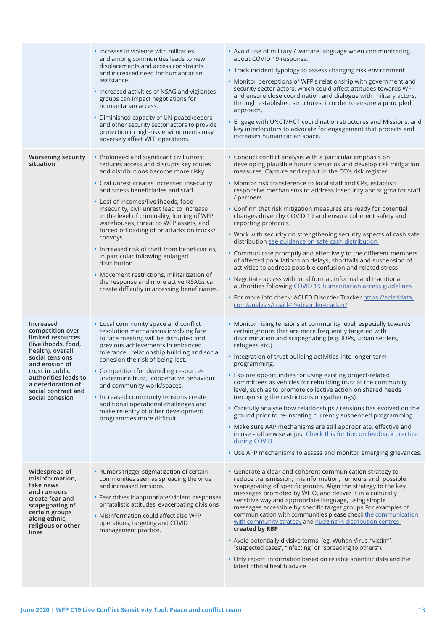|                                                                                                                                                                                                                                               | • Increase in violence with militaries<br>and among communities leads to new<br>displacements and access constraints<br>and increased need for humanitarian<br>assistance.<br>• Increased activities of NSAG and vigilantes<br>groups can impact negotiations for<br>humanitarian access.<br>• Diminished capacity of UN peacekeepers<br>and other security sector actors to provide<br>protection in high-risk environments may<br>adversely affect WFP operations.                                                                                                                                                                                                                                 | • Avoid use of military / warfare language when communicating<br>about COVID 19 response.<br>• Track incident typology to assess changing risk environment<br>• Monitor perceptions of WFP's relationship with government and<br>security sector actors, which could affect attitudes towards WFP<br>and ensure close coordination and dialogue with military actors,<br>through established structures, in order to ensure a principled<br>approach.<br>• Engage with UNCT/HCT coordination structures and Missions, and<br>key interlocutors to advocate for engagement that protects and<br>increases humanitarian space.                                                                                                                                                                                                                                                                                                                                                                                                                                                             |
|-----------------------------------------------------------------------------------------------------------------------------------------------------------------------------------------------------------------------------------------------|------------------------------------------------------------------------------------------------------------------------------------------------------------------------------------------------------------------------------------------------------------------------------------------------------------------------------------------------------------------------------------------------------------------------------------------------------------------------------------------------------------------------------------------------------------------------------------------------------------------------------------------------------------------------------------------------------|------------------------------------------------------------------------------------------------------------------------------------------------------------------------------------------------------------------------------------------------------------------------------------------------------------------------------------------------------------------------------------------------------------------------------------------------------------------------------------------------------------------------------------------------------------------------------------------------------------------------------------------------------------------------------------------------------------------------------------------------------------------------------------------------------------------------------------------------------------------------------------------------------------------------------------------------------------------------------------------------------------------------------------------------------------------------------------------|
| <b>Worsening security</b><br>situation                                                                                                                                                                                                        | • Prolonged and significant civil unrest<br>reduces access and disrupts key routes<br>and distributions become more risky.<br>• Civil unrest creates increased insecurity<br>and stress beneficiaries and staff<br>• Lost of incomes/livelihoods, food<br>insecurity, civil unrest lead to increase<br>in the level of criminality, looting of WFP<br>warehouses, threat to WFP assets, and<br>forced offloading of or attacks on trucks/<br>convoys.<br>. Increased risk of theft from beneficiaries,<br>in particular following enlarged<br>distribution.<br>• Movement restrictions, militarization of<br>the response and more active NSAGs can<br>create difficulty in accessing beneficiaries. | • Conduct conflict analysis with a particular emphasis on<br>developing plausible future scenarios and develop risk mitigation<br>measures. Capture and report in the CO's risk register.<br>• Monitor risk transference to local staff and CPs, establish<br>responsive mechanisms to address insecurity and stigma for staff<br>/ partners<br>• Confirm that risk mitigation measures are ready for potential<br>changes driven by COVID 19 and ensure coherent safety and<br>reporting protocols<br>• Work with security on strengthening security aspects of cash safe<br>distribution see guidance on safe cash distribution<br>• Communicate promptly and effectively to the different members<br>of affected populations on delays, shortfalls and suspension of<br>activities to address possible confusion and related stress<br>• Negotiate access with local formal, informal and traditional<br>authorities following COVID 19 humanitarian access guidelines<br>· For more info check: ACLED Disorder Tracker https://acleddata.<br>com/analysis/covid-19-disorder-tracker/ |
| Increased<br>competition over<br>limited resources<br>(livelihoods, food,<br>health), overall<br>social tensions<br>and erosion of<br>trust in public<br>authorities leads to<br>a deterioration of<br>social contract and<br>social cohesion | • Local community space and conflict<br>resolution mechanisms involving face<br>to face meeting will be disrupted and<br>previous achievements in enhanced<br>tolerance, relationship building and social<br>cohesion the risk of being lost.<br>• Competition for dwindling resources<br>undermine trust, cooperative behaviour<br>and community work/spaces.<br>• Increased community tensions create<br>additional operational challenges and<br>make re-entry of other development<br>programmes more difficult.                                                                                                                                                                                 | • Monitor rising tensions at community level, especially towards<br>certain groups that are more frequently targeted with<br>discrimination and scapegoating (e.g. IDPs, urban settlers,<br>refugees etc.).<br>• Integration of trust building activities into longer term<br>programming.<br>• Explore opportunities for using existing project-related<br>committees as vehicles for rebuilding trust at the community<br>level, such as to promote collective action on shared needs<br>(recognising the restrictions on gatherings).<br>• Carefully analyse how relationships / tensions has evolved on the<br>ground prior to re-instating currently suspended programming.<br>• Make sure AAP mechanisms are still appropriate, effective and<br>in use - otherwise adjust Check this for tips on feedback practice<br>during COVID<br>• Use APP mechanisms to assess and monitor emerging grievances.                                                                                                                                                                             |
| Widespread of<br>misinformation,<br>fake news<br>and rumours<br>create fear and<br>scapegoating of<br>certain groups<br>along ethnic,<br>religious or other<br>lines                                                                          | • Rumors trigger stigmatization of certain<br>communities seen as spreading the virus<br>and increased tensions.<br>• Fear drives inappropriate/ violent responses<br>or fatalistic attitudes, exacerbating divisions<br>• Misinformation could affect also WFP<br>operations, targeting and COVID<br>management practice.                                                                                                                                                                                                                                                                                                                                                                           | • Generate a clear and coherent communication strategy to<br>reduce transmission, misinformation, rumours and possible<br>scapegoating of specific groups. Align the strategy to the key<br>messages promoted by WHO, and deliver it in a culturally<br>sensitive way and appropriate language, using simple<br>messages accessible by specific target groups. For examples of<br>communication with communities please check the communication<br>with community strategy and nudging in distribution centres<br>created by RBP<br>• Avoid potentially divisive terms: (eg. Wuhan Virus, "victim",<br>"suspected cases", "infecting" or "spreading to others").<br>• Only report information based on reliable scientific data and the<br>latest official health advice                                                                                                                                                                                                                                                                                                                 |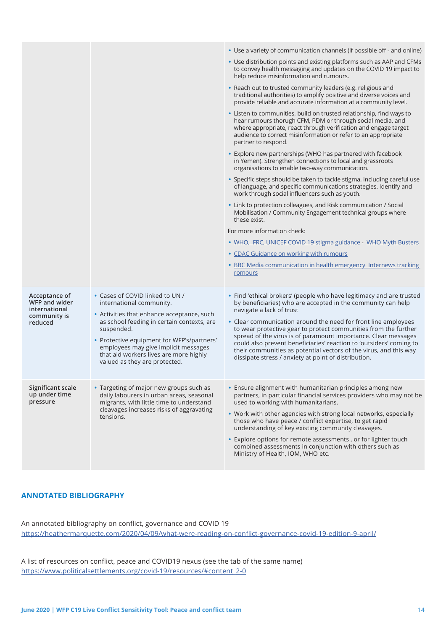|                                                                            |                                                                                                                                                                                                                                                                                                                                        | • Use a variety of communication channels (if possible off - and online)                                                                                                                                                                                                                                                              |
|----------------------------------------------------------------------------|----------------------------------------------------------------------------------------------------------------------------------------------------------------------------------------------------------------------------------------------------------------------------------------------------------------------------------------|---------------------------------------------------------------------------------------------------------------------------------------------------------------------------------------------------------------------------------------------------------------------------------------------------------------------------------------|
|                                                                            |                                                                                                                                                                                                                                                                                                                                        | • Use distribution points and existing platforms such as AAP and CFMs<br>to convey health messaging and updates on the COVID 19 impact to<br>help reduce misinformation and rumours.                                                                                                                                                  |
|                                                                            |                                                                                                                                                                                                                                                                                                                                        | • Reach out to trusted community leaders (e.g. religious and<br>traditional authorities) to amplify positive and diverse voices and<br>provide reliable and accurate information at a community level.                                                                                                                                |
|                                                                            |                                                                                                                                                                                                                                                                                                                                        | • Listen to communities, build on trusted relationship, find ways to<br>hear rumours thorugh CFM, PDM or through social media, and<br>where appropriate, react through verification and engage target<br>audience to correct misinformation or refer to an appropriate<br>partner to respond.                                         |
|                                                                            |                                                                                                                                                                                                                                                                                                                                        | • Explore new partnerships (WHO has partnered with facebook<br>in Yemen). Strengthen connections to local and grassroots<br>organisations to enable two-way communication.                                                                                                                                                            |
|                                                                            |                                                                                                                                                                                                                                                                                                                                        | • Specific steps should be taken to tackle stigma, including careful use<br>of language, and specific communications strategies. Identify and<br>work through social influencers such as youth.                                                                                                                                       |
|                                                                            |                                                                                                                                                                                                                                                                                                                                        | • Link to protection colleagues, and Risk communication / Social<br>Mobilisation / Community Engagement technical groups where<br>these exist.                                                                                                                                                                                        |
|                                                                            |                                                                                                                                                                                                                                                                                                                                        | For more information check:                                                                                                                                                                                                                                                                                                           |
|                                                                            |                                                                                                                                                                                                                                                                                                                                        | • WHO, IFRC, UNICEF COVID 19 stigma guidance - WHO Myth Busters                                                                                                                                                                                                                                                                       |
|                                                                            |                                                                                                                                                                                                                                                                                                                                        | • CDAC Guidance on working with rumours                                                                                                                                                                                                                                                                                               |
|                                                                            |                                                                                                                                                                                                                                                                                                                                        | • BBC Media communication in health emergency Internews tracking<br>romours                                                                                                                                                                                                                                                           |
| Acceptance of<br>WFP and wider<br>international<br>community is<br>reduced | • Cases of COVID linked to UN /<br>international community.<br>• Activities that enhance acceptance, such<br>as school feeding in certain contexts, are<br>suspended.<br>• Protective equipment for WFP's/partners'<br>employees may give implicit messages<br>that aid workers lives are more highly<br>valued as they are protected. | • Find 'ethical brokers' (people who have legitimacy and are trusted<br>by beneficiaries) who are accepted in the community can help<br>navigate a lack of trust<br>• Clear communication around the need for front line employees                                                                                                    |
|                                                                            |                                                                                                                                                                                                                                                                                                                                        | to wear protective gear to protect communities from the further<br>spread of the virus is of paramount importance. Clear messages<br>could also prevent beneficiaries' reaction to 'outsiders' coming to<br>their communities as potential vectors of the virus, and this way<br>dissipate stress / anxiety at point of distribution. |
| Significant scale<br>up under time<br>pressure                             | • Targeting of major new groups such as<br>daily labourers in urban areas, seasonal<br>migrants, with little time to understand<br>cleavages increases risks of aggravating<br>tensions.                                                                                                                                               | • Ensure alignment with humanitarian principles among new<br>partners, in particular financial services providers who may not be<br>used to working with humanitarians.<br>• Work with other agencies with strong local networks, especially<br>those who have peace / conflict expertise, to get rapid                               |
|                                                                            |                                                                                                                                                                                                                                                                                                                                        | understanding of key existing community cleavages.                                                                                                                                                                                                                                                                                    |
|                                                                            |                                                                                                                                                                                                                                                                                                                                        | • Explore options for remote assessments, or for lighter touch<br>combined assessments in conjunction with others such as<br>Ministry of Health, IOM, WHO etc.                                                                                                                                                                        |

#### **ANNOTATED BIBLIOGRAPHY**

An annotated bibliography on conflict, governance and COVID 19 <https://heathermarquette.com/2020/04/09/what-were-reading-on-conflict-governance-covid-19-edition-9-april/>

A list of resources on conflict, peace and COVID19 nexus (see the tab of the same name) [https://www.politicalsettlements.org/covid-19/resources/#content\\_2-0](https://www.politicalsettlements.org/covid-19/resources/#content_2-0)